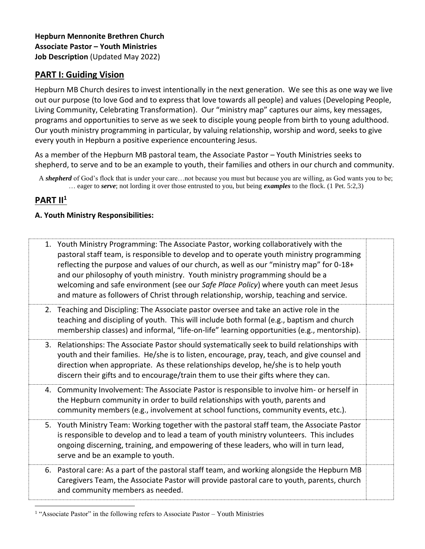## **PART I: Guiding Vision**

Hepburn MB Church desires to invest intentionally in the next generation. We see this as one way we live out our purpose (to love God and to express that love towards all people) and values (Developing People, Living Community, Celebrating Transformation). Our "ministry map" captures our aims, key messages, programs and opportunities to serve as we seek to disciple young people from birth to young adulthood. Our youth ministry programming in particular, by valuing relationship, worship and word, seeks to give every youth in Hepburn a positive experience encountering Jesus.

As a member of the Hepburn MB pastoral team, the Associate Pastor – Youth Ministries seeks to shepherd, to serve and to be an example to youth, their families and others in our church and community.

A *shepherd* of God's flock that is under your care…not because you must but because you are willing, as God wants you to be; … eager to *serve*; not lording it over those entrusted to you, but being *examples* to the flock. (1 Pet. 5:2,3)

# **PART II<sup>1</sup>**

#### **A. Youth Ministry Responsibilities:**

| 1. Youth Ministry Programming: The Associate Pastor, working collaboratively with the<br>pastoral staff team, is responsible to develop and to operate youth ministry programming<br>reflecting the purpose and values of our church, as well as our "ministry map" for 0-18+<br>and our philosophy of youth ministry. Youth ministry programming should be a<br>welcoming and safe environment (see our Safe Place Policy) where youth can meet Jesus<br>and mature as followers of Christ through relationship, worship, teaching and service. |  |
|--------------------------------------------------------------------------------------------------------------------------------------------------------------------------------------------------------------------------------------------------------------------------------------------------------------------------------------------------------------------------------------------------------------------------------------------------------------------------------------------------------------------------------------------------|--|
| 2. Teaching and Discipling: The Associate pastor oversee and take an active role in the<br>teaching and discipling of youth. This will include both formal (e.g., baptism and church<br>membership classes) and informal, "life-on-life" learning opportunities (e.g., mentorship).                                                                                                                                                                                                                                                              |  |
| 3. Relationships: The Associate Pastor should systematically seek to build relationships with<br>youth and their families. He/she is to listen, encourage, pray, teach, and give counsel and<br>direction when appropriate. As these relationships develop, he/she is to help youth<br>discern their gifts and to encourage/train them to use their gifts where they can.                                                                                                                                                                        |  |
| 4. Community Involvement: The Associate Pastor is responsible to involve him- or herself in<br>the Hepburn community in order to build relationships with youth, parents and<br>community members (e.g., involvement at school functions, community events, etc.).                                                                                                                                                                                                                                                                               |  |
| 5. Youth Ministry Team: Working together with the pastoral staff team, the Associate Pastor<br>is responsible to develop and to lead a team of youth ministry volunteers. This includes<br>ongoing discerning, training, and empowering of these leaders, who will in turn lead,<br>serve and be an example to youth.                                                                                                                                                                                                                            |  |
| 6. Pastoral care: As a part of the pastoral staff team, and working alongside the Hepburn MB<br>Caregivers Team, the Associate Pastor will provide pastoral care to youth, parents, church<br>and community members as needed.                                                                                                                                                                                                                                                                                                                   |  |

<sup>&</sup>lt;sup>1</sup> "Associate Pastor" in the following refers to Associate Pastor - Youth Ministries